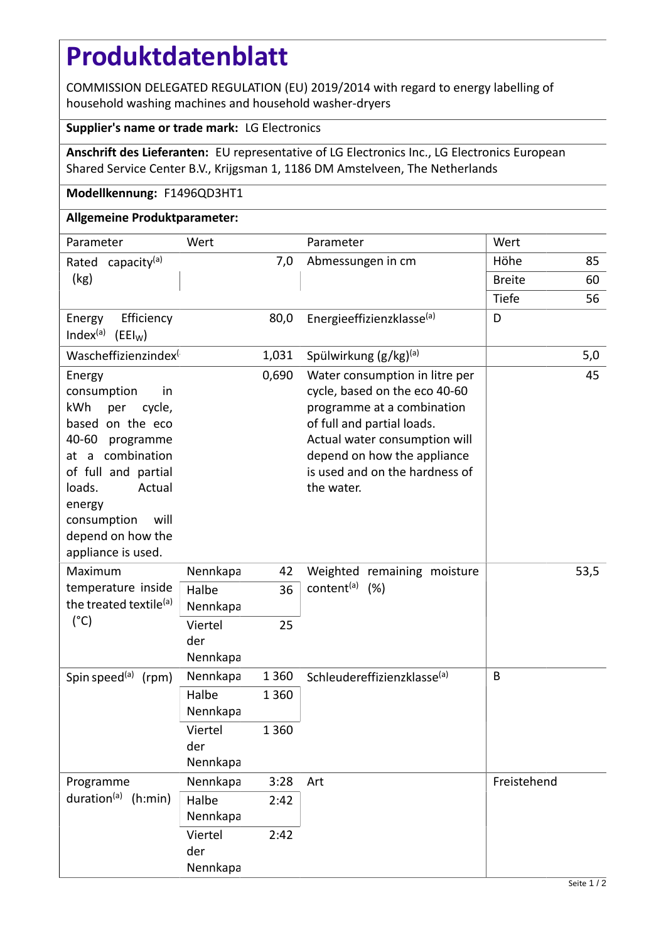## **Produktdatenblatt**

COMMISSION DELEGATED REGULATION (EU) 2019/2014 with regard to energy labelling of household washing machines and household washer-dryers

## **Supplier's name or trade mark:** LG Electronics

**Anschrift des Lieferanten:** EU representative of LG Electronics Inc., LG Electronics European Shared Service Center B.V., Krijgsman 1, 1186 DM Amstelveen, The Netherlands

## **Modellkennung:** F1496QD3HT1

## **Allgemeine Produktparameter:**

| Parameter                                                                                                                                                                                                                                | Wert                       |         | Parameter                                                                                                                                                                                                                                   | Wert          |     |
|------------------------------------------------------------------------------------------------------------------------------------------------------------------------------------------------------------------------------------------|----------------------------|---------|---------------------------------------------------------------------------------------------------------------------------------------------------------------------------------------------------------------------------------------------|---------------|-----|
| Rated capacity <sup>(a)</sup><br>(kg)                                                                                                                                                                                                    | 7,0                        |         | Abmessungen in cm                                                                                                                                                                                                                           | Höhe          | 85  |
|                                                                                                                                                                                                                                          |                            |         |                                                                                                                                                                                                                                             | <b>Breite</b> | 60  |
|                                                                                                                                                                                                                                          |                            |         |                                                                                                                                                                                                                                             | Tiefe         | 56  |
| Efficiency<br>Energy<br>Index <sup>(a)</sup><br>$(EEI_W)$                                                                                                                                                                                |                            | 80,0    | Energieeffizienzklasse(a)                                                                                                                                                                                                                   | D             |     |
| Wascheffizienzindex <sup>(</sup>                                                                                                                                                                                                         |                            | 1,031   | Spülwirkung (g/kg) <sup>(a)</sup>                                                                                                                                                                                                           |               | 5,0 |
| Energy<br>consumption<br>in<br>kWh<br>cycle,<br>per<br>based on the eco<br>40-60<br>programme<br>at a combination<br>of full and partial<br>loads.<br>Actual<br>energy<br>will<br>consumption<br>depend on how the<br>appliance is used. |                            | 0,690   | Water consumption in litre per<br>cycle, based on the eco 40-60<br>programme at a combination<br>of full and partial loads.<br>Actual water consumption will<br>depend on how the appliance<br>is used and on the hardness of<br>the water. |               | 45  |
| Maximum<br>temperature inside<br>the treated textile <sup>(a)</sup><br>$(^{\circ}C)$                                                                                                                                                     | Nennkapa                   | 42      | Weighted remaining moisture<br>content <sup>(a)</sup> (%)                                                                                                                                                                                   | 53,5          |     |
|                                                                                                                                                                                                                                          | Halbe<br>Nennkapa          | 36      |                                                                                                                                                                                                                                             |               |     |
|                                                                                                                                                                                                                                          | Viertel<br>der<br>Nennkapa | 25      |                                                                                                                                                                                                                                             |               |     |
| Spin speed <sup>(a)</sup> (rpm)                                                                                                                                                                                                          | Nennkapa                   | 1 3 6 0 | Schleudereffizienzklasse <sup>(a)</sup>                                                                                                                                                                                                     | B             |     |
|                                                                                                                                                                                                                                          | Halbe<br>Nennkapa          | 1 3 6 0 |                                                                                                                                                                                                                                             |               |     |
|                                                                                                                                                                                                                                          | Viertel<br>der<br>Nennkapa | 1 3 6 0 |                                                                                                                                                                                                                                             |               |     |
| Programme<br>duration(a)<br>(h:min)                                                                                                                                                                                                      | Nennkapa                   | 3:28    | Art                                                                                                                                                                                                                                         | Freistehend   |     |
|                                                                                                                                                                                                                                          | Halbe<br>Nennkapa          | 2:42    |                                                                                                                                                                                                                                             |               |     |
|                                                                                                                                                                                                                                          | Viertel<br>der<br>Nennkapa | 2:42    |                                                                                                                                                                                                                                             |               |     |